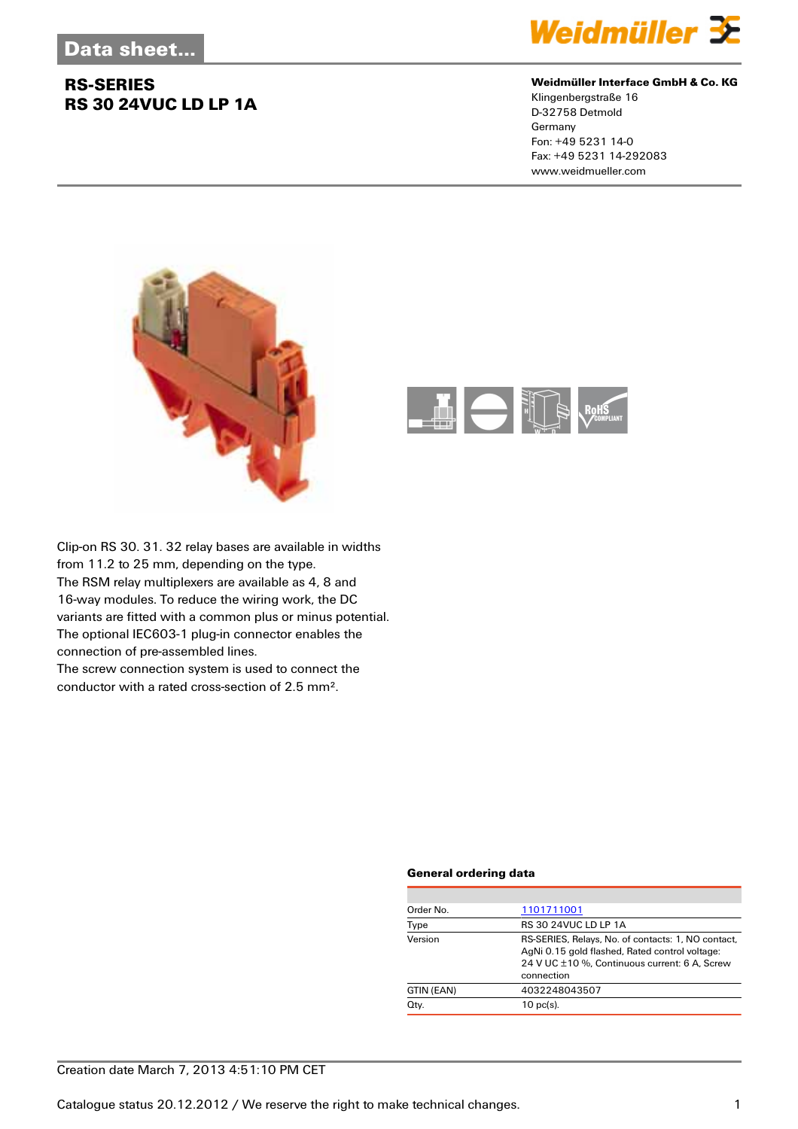### **RS-SERIES RS 30 24VUC LD LP 1A**



#### **Weidmüller Interface GmbH & Co. KG**

Klingenbergstraße 16 D-32758 Detmold Germany Fon: +49 5231 14-0 Fax: +49 5231 14-292083 www.weidmueller.com





Clip-on RS 30. 31. 32 relay bases are available in widths from 11.2 to 25 mm, depending on the type. The RSM relay multiplexers are available as 4, 8 and 16-way modules. To reduce the wiring work, the DC variants are fitted with a common plus or minus potential. The optional IEC603-1 plug-in connector enables the connection of pre-assembled lines.

The screw connection system is used to connect the conductor with a rated cross-section of 2.5 mm².

#### **General ordering data**

| Order No.  | 1101711001                                                                                                                                                          |  |  |
|------------|---------------------------------------------------------------------------------------------------------------------------------------------------------------------|--|--|
| Type       | <b>RS 30 24VUC LD LP 1A</b>                                                                                                                                         |  |  |
| Version    | RS-SERIES, Relays, No. of contacts: 1, NO contact,<br>AgNi 0.15 gold flashed, Rated control voltage:<br>24 V UC ±10 %, Continuous current: 6 A, Screw<br>connection |  |  |
| GTIN (EAN) | 4032248043507                                                                                                                                                       |  |  |
| Qty.       | $10$ pc(s).                                                                                                                                                         |  |  |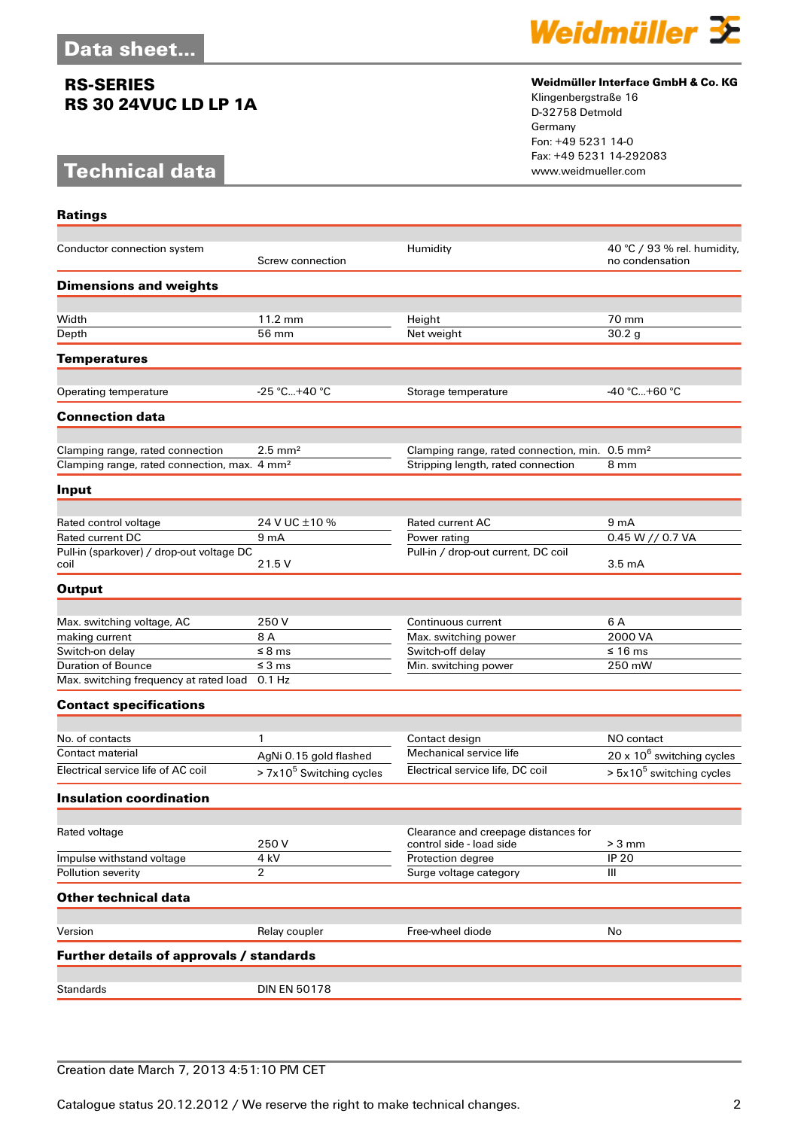### **RS-SERIES RS 30 24VUC LD LP 1A**

## **Technical data**

**Ratings**



#### **Weidmüller Interface GmbH & Co. KG**

Klingenbergstraße 16 D-32758 Detmold Germany Fon: +49 5231 14-0 Fax: +49 5231 14-292083

| Conductor connection system                              | Screw connection           | Humidity                                                   | 40 °C / 93 % rel. humidity,<br>no condensation |
|----------------------------------------------------------|----------------------------|------------------------------------------------------------|------------------------------------------------|
| <b>Dimensions and weights</b>                            |                            |                                                            |                                                |
|                                                          |                            |                                                            |                                                |
| Width                                                    | 11.2 mm                    | Height                                                     | 70 mm                                          |
| Depth                                                    | 56 mm                      | Net weight                                                 | 30.2 <sub>g</sub>                              |
| <b>Temperatures</b>                                      |                            |                                                            |                                                |
|                                                          |                            |                                                            |                                                |
| Operating temperature                                    | $-25 °C+40 °C$             | Storage temperature                                        | -40 °C+60 °C                                   |
| <b>Connection data</b>                                   |                            |                                                            |                                                |
| Clamping range, rated connection                         | $2.5 \text{ mm}^2$         | Clamping range, rated connection, min. 0.5 mm <sup>2</sup> |                                                |
| Clamping range, rated connection, max. 4 mm <sup>2</sup> |                            | Stripping length, rated connection                         | 8 mm                                           |
| Input                                                    |                            |                                                            |                                                |
|                                                          |                            |                                                            |                                                |
| Rated control voltage                                    | 24 V UC ± 10 %             | <b>Rated current AC</b>                                    | 9 <sub>m</sub> A                               |
| <b>Rated current DC</b>                                  | 9 <sub>mA</sub>            | Power rating                                               | 0.45 W // 0.7 VA                               |
| Pull-in (sparkover) / drop-out voltage DC                |                            | Pull-in / drop-out current, DC coil                        |                                                |
| coil                                                     | 21.5 V                     |                                                            | $3.5 \text{ mA}$                               |
| <b>Output</b>                                            |                            |                                                            |                                                |
| Max. switching voltage, AC                               | 250 V                      | Continuous current                                         | 6 A                                            |
| making current                                           | 8 A                        | Max. switching power                                       | 2000 VA                                        |
| Switch-on delay                                          | $\leq$ 8 ms                | Switch-off delay                                           | ≤ 16 ms                                        |
| <b>Duration of Bounce</b>                                | $\leq$ 3 ms                | Min. switching power                                       | 250 mW                                         |
| Max. switching frequency at rated load 0.1 Hz            |                            |                                                            |                                                |
| <b>Contact specifications</b>                            |                            |                                                            |                                                |
|                                                          |                            |                                                            |                                                |
| No. of contacts                                          | 1                          | Contact design                                             | NO contact                                     |
| Contact material                                         | AgNi 0.15 gold flashed     | Mechanical service life                                    | $20 \times 10^6$ switching cycles              |
| Electrical service life of AC coil                       | $> 7x105$ Switching cycles | Electrical service life, DC coil                           | $> 5x105$ switching cycles                     |
| <b>Insulation coordination</b>                           |                            |                                                            |                                                |
|                                                          |                            |                                                            |                                                |
| Rated voltage                                            |                            | Clearance and creepage distances for                       | $> 3$ mm                                       |
| Impulse withstand voltage                                | 250V<br>4 kV               | control side - load side<br>Protection degree              | <b>IP 20</b>                                   |
| Pollution severity                                       | 2                          | Surge voltage category                                     | Ш                                              |
|                                                          |                            |                                                            |                                                |
| <b>Other technical data</b>                              |                            |                                                            |                                                |
| Version                                                  | Relay coupler              | Free-wheel diode                                           | No                                             |
| Further details of approvals / standards                 |                            |                                                            |                                                |
|                                                          |                            |                                                            |                                                |
| <b>Standards</b>                                         | <b>DIN EN 50178</b>        |                                                            |                                                |